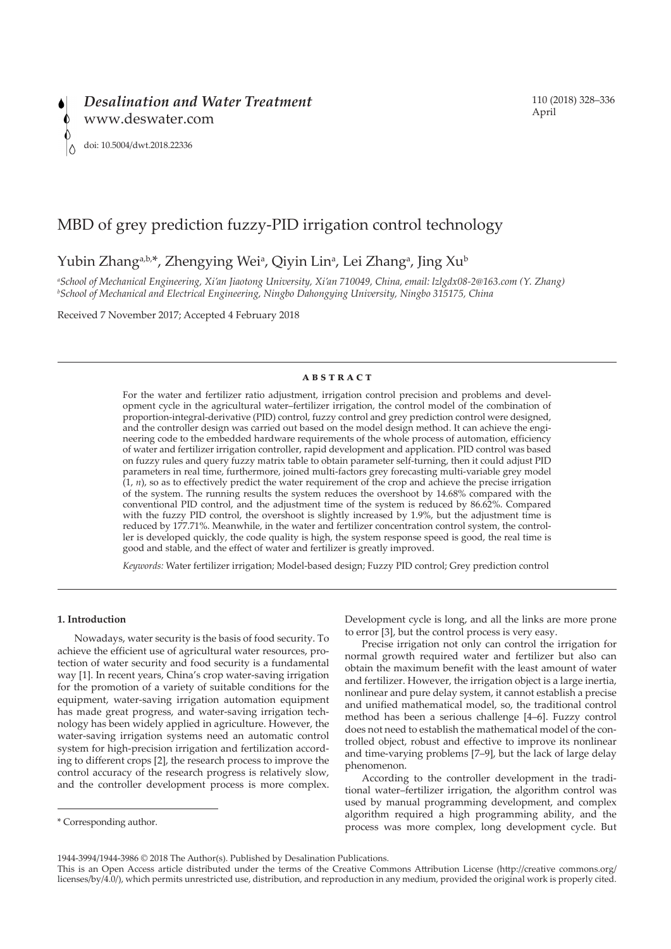# MBD of grey prediction fuzzy-PID irrigation control technology

# Yubin Zhang<sup>a,b,\*</sup>, Zhengying Wei<sup>a</sup>, Qiyin Lin<sup>a</sup>, Lei Zhang<sup>a</sup>, Jing Xu<sup>b</sup>

*a School of Mechanical Engineering, Xi'an Jiaotong University, Xi'an 710049, China, email: lzlgdx08-2@163.com (Y. Zhang) b School of Mechanical and Electrical Engineering, Ningbo Dahongying University, Ningbo 315175, China*

Received 7 November 2017; Accepted 4 February 2018

# **abstract**

For the water and fertilizer ratio adjustment, irrigation control precision and problems and development cycle in the agricultural water–fertilizer irrigation, the control model of the combination of proportion-integral-derivative (PID) control, fuzzy control and grey prediction control were designed, and the controller design was carried out based on the model design method. It can achieve the engineering code to the embedded hardware requirements of the whole process of automation, efficiency of water and fertilizer irrigation controller, rapid development and application. PID control was based on fuzzy rules and query fuzzy matrix table to obtain parameter self-turning, then it could adjust PID parameters in real time, furthermore, joined multi-factors grey forecasting multi-variable grey model  $(1, n)$ , so as to effectively predict the water requirement of the crop and achieve the precise irrigation of the system. The running results the system reduces the overshoot by 14.68% compared with the conventional PID control, and the adjustment time of the system is reduced by 86.62%. Compared with the fuzzy PID control, the overshoot is slightly increased by 1.9%, but the adjustment time is reduced by 177.71%. Meanwhile, in the water and fertilizer concentration control system, the controller is developed quickly, the code quality is high, the system response speed is good, the real time is good and stable, and the effect of water and fertilizer is greatly improved.

*Keywords:* Water fertilizer irrigation; Model-based design; Fuzzy PID control; Grey prediction control

#### **1. Introduction**

Nowadays, water security is the basis of food security. To achieve the efficient use of agricultural water resources, protection of water security and food security is a fundamental way [1]. In recent years, China's crop water-saving irrigation for the promotion of a variety of suitable conditions for the equipment, water-saving irrigation automation equipment has made great progress, and water-saving irrigation technology has been widely applied in agriculture. However, the water-saving irrigation systems need an automatic control system for high-precision irrigation and fertilization according to different crops [2], the research process to improve the control accuracy of the research progress is relatively slow, and the controller development process is more complex.

Development cycle is long, and all the links are more prone to error [3], but the control process is very easy.

Precise irrigation not only can control the irrigation for normal growth required water and fertilizer but also can obtain the maximum benefit with the least amount of water and fertilizer. However, the irrigation object is a large inertia, nonlinear and pure delay system, it cannot establish a precise and unified mathematical model, so, the traditional control method has been a serious challenge [4–6]. Fuzzy control does not need to establish the mathematical model of the controlled object, robust and effective to improve its nonlinear and time-varying problems [7–9], but the lack of large delay phenomenon.

According to the controller development in the traditional water–fertilizer irrigation, the algorithm control was used by manual programming development, and complex algorithm required a high programming ability, and the process was more complex, long development cycle. But

<sup>\*</sup> Corresponding author.

<sup>1944-3994/1944-3986 © 2018</sup> The Author(s). Published by Desalination Publications.

This is an Open Access article distributed under the terms of the Creative Commons Attribution License (http://creative commons.org/ licenses/by/4.0/), which permits unrestricted use, distribution, and reproduction in any medium, provided the original work is properly cited.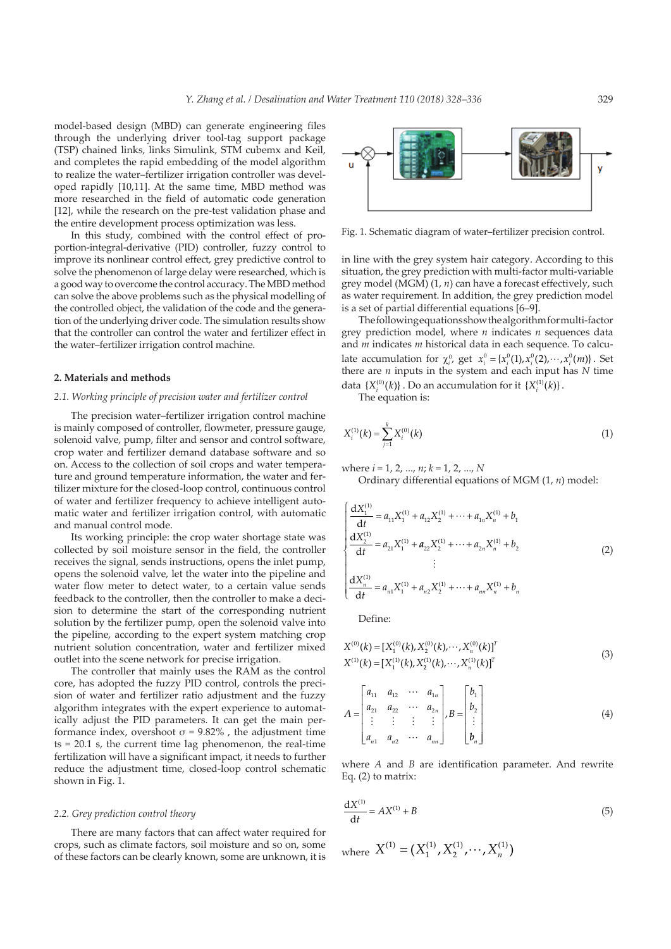model-based design (MBD) can generate engineering files through the underlying driver tool-tag support package (TSP) chained links, links Simulink, STM cubemx and Keil, and completes the rapid embedding of the model algorithm to realize the water–fertilizer irrigation controller was developed rapidly [10,11]. At the same time, MBD method was more researched in the field of automatic code generation [12], while the research on the pre-test validation phase and the entire development process optimization was less.

In this study, combined with the control effect of proportion-integral-derivative (PID) controller, fuzzy control to improve its nonlinear control effect, grey predictive control to solve the phenomenon of large delay were researched, which is a good way to overcome the control accuracy. The MBD method can solve the above problems such as the physical modelling of the controlled object, the validation of the code and the generation of the underlying driver code. The simulation results show that the controller can control the water and fertilizer effect in the water–fertilizer irrigation control machine.

#### **2. Materials and methods**

# *2.1. Working principle of precision water and fertilizer control*

The precision water–fertilizer irrigation control machine is mainly composed of controller, flowmeter, pressure gauge, solenoid valve, pump, filter and sensor and control software, crop water and fertilizer demand database software and so on. Access to the collection of soil crops and water temperature and ground temperature information, the water and fertilizer mixture for the closed-loop control, continuous control of water and fertilizer frequency to achieve intelligent automatic water and fertilizer irrigation control, with automatic and manual control mode.

Its working principle: the crop water shortage state was collected by soil moisture sensor in the field, the controller receives the signal, sends instructions, opens the inlet pump, opens the solenoid valve, let the water into the pipeline and water flow meter to detect water, to a certain value sends feedback to the controller, then the controller to make a decision to determine the start of the corresponding nutrient solution by the fertilizer pump, open the solenoid valve into the pipeline, according to the expert system matching crop nutrient solution concentration, water and fertilizer mixed outlet into the scene network for precise irrigation.

The controller that mainly uses the RAM as the control core, has adopted the fuzzy PID control, controls the precision of water and fertilizer ratio adjustment and the fuzzy algorithm integrates with the expert experience to automatically adjust the PID parameters. It can get the main performance index, overshoot  $\sigma$  = 9.82%, the adjustment time ts = 20.1 s, the current time lag phenomenon, the real-time fertilization will have a significant impact, it needs to further reduce the adjustment time, closed-loop control schematic shown in Fig. 1.

#### *2.2. Grey prediction control theory*

There are many factors that can affect water required for crops, such as climate factors, soil moisture and so on, some of these factors can be clearly known, some are unknown, it is



Fig. 1. Schematic diagram of water–fertilizer precision control.

in line with the grey system hair category. According to this situation, the grey prediction with multi-factor multi-variable grey model (MGM) (1, *n*) can have a forecast effectively, such as water requirement. In addition, the grey prediction model is a set of partial differential equations [6–9].

The following equations show the algorithm for multi-factor grey prediction model, where *n* indicates *n* sequences data and *m* indicates *m* historical data in each sequence. To calculate accumulation for  $\chi_i^0$ , get  $x_i^0 = \{x_i^0(1), x_i^0(2), \dots, x_i^0(m)\}\)$ . Set there are *n* inputs in the system and each input has *N* time data  $\{X_i^{(0)}(k)\}\)$ . Do an accumulation for it  $\{X_i^{(1)}(k)\}\$ .

The equation is:

$$
X_i^{(1)}(k) = \sum_{j=1}^k X_i^{(0)}(k)
$$
 (1)

where *i* = 1, 2, ..., *n*; *k* = 1, 2, ..., *N*

Ordinary differential equations of MGM (1, *n*) model:

$$
\begin{cases}\n\frac{dX_1^{(1)}}{dt} = a_{11}X_1^{(1)} + a_{12}X_2^{(1)} + \dots + a_{1n}X_n^{(1)} + b_1 \\
\frac{dX_2^{(1)}}{dt} = a_{21}X_1^{(1)} + a_{22}X_2^{(1)} + \dots + a_{2n}X_n^{(1)} + b_2 \\
\vdots \\
\frac{dX_n^{(1)}}{dt} = a_{n1}X_1^{(1)} + a_{n2}X_2^{(1)} + \dots + a_{nn}X_n^{(1)} + b_n\n\end{cases}
$$
\n(2)

Define:

$$
X^{(0)}(k) = [X_1^{(0)}(k), X_2^{(0)}(k), \cdots, X_n^{(0)}(k)]^T
$$
  
\n
$$
X^{(1)}(k) = [X_1^{(1)}(k), X_2^{(1)}(k), \cdots, X_n^{(1)}(k)]^T
$$
\n(3)

$$
A = \begin{bmatrix} a_{11} & a_{12} & \cdots & a_{1n} \\ a_{21} & a_{22} & \cdots & a_{2n} \\ \vdots & \vdots & \vdots & \vdots \\ a_{n1} & a_{n2} & \cdots & a_{nn} \end{bmatrix}, B = \begin{bmatrix} b_1 \\ b_2 \\ \vdots \\ b_n \end{bmatrix}
$$
 (4)

where *A* and *B* are identification parameter. And rewrite Eq. (2) to matrix:

$$
\frac{dX^{(1)}}{dt} = AX^{(1)} + B
$$
 (5)

where  $X^{(1)} = (X_1^{(1)}, X_2^{(1)}, \cdots, X_n^{(1)})$ 1  $=(X_1^{(1)}, X_2^{(1)}, \cdots, X_n^{(1)})$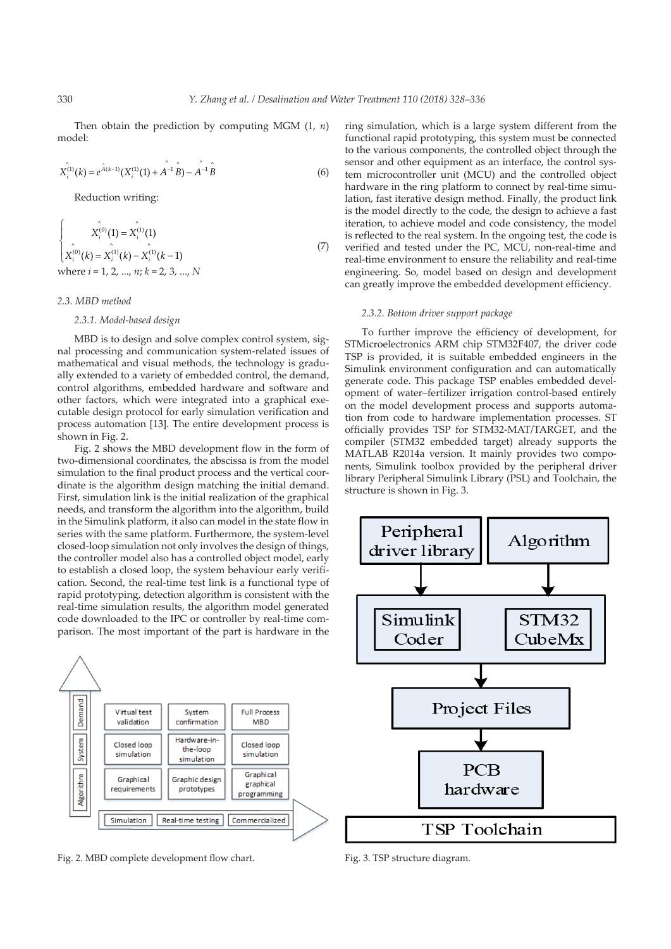Then obtain the prediction by computing MGM (1, *n*) model:

$$
X_i^{(1)}(k) = e^{\hat{A}(k-1)}(X_i^{(1)}(1) + A^{-1}\hat{B}) - A^{-1}\hat{B}
$$
\n(6)

Reduction writing:

$$
\begin{cases}\n\hat{X}_i^{(0)}(1) = \hat{X}_i^{(1)}(1) \\
\hat{X}_i^{(0)}(k) = \hat{X}_i^{(1)}(k) - \hat{X}_i^{(1)}(k-1) \\
\text{where } i = 1, 2, ..., n; k = 2, 3, ..., N\n\end{cases}
$$
\n(7)

# *2.3. MBD method*

# *2.3.1. Model-based design*

MBD is to design and solve complex control system, signal processing and communication system-related issues of mathematical and visual methods, the technology is gradually extended to a variety of embedded control, the demand, control algorithms, embedded hardware and software and other factors, which were integrated into a graphical executable design protocol for early simulation verification and process automation [13]. The entire development process is shown in Fig. 2.

Fig. 2 shows the MBD development flow in the form of two-dimensional coordinates, the abscissa is from the model simulation to the final product process and the vertical coordinate is the algorithm design matching the initial demand. First, simulation link is the initial realization of the graphical needs, and transform the algorithm into the algorithm, build in the Simulink platform, it also can model in the state flow in series with the same platform. Furthermore, the system-level closed-loop simulation not only involves the design of things, the controller model also has a controlled object model, early to establish a closed loop, the system behaviour early verification. Second, the real-time test link is a functional type of rapid prototyping, detection algorithm is consistent with the real-time simulation results, the algorithm model generated code downloaded to the IPC or controller by real-time comparison. The most important of the part is hardware in the



Fig. 2. MBD complete development flow chart. Fig. 3. TSP structure diagram.

ring simulation, which is a large system different from the functional rapid prototyping, this system must be connected to the various components, the controlled object through the sensor and other equipment as an interface, the control system microcontroller unit (MCU) and the controlled object hardware in the ring platform to connect by real-time simulation, fast iterative design method. Finally, the product link is the model directly to the code, the design to achieve a fast iteration, to achieve model and code consistency, the model is reflected to the real system. In the ongoing test, the code is verified and tested under the PC, MCU, non-real-time and real-time environment to ensure the reliability and real-time engineering. So, model based on design and development can greatly improve the embedded development efficiency.

# *2.3.2. Bottom driver support package*

To further improve the efficiency of development, for STMicroelectronics ARM chip STM32F407, the driver code TSP is provided, it is suitable embedded engineers in the Simulink environment configuration and can automatically generate code. This package TSP enables embedded development of water–fertilizer irrigation control-based entirely on the model development process and supports automation from code to hardware implementation processes. ST officially provides TSP for STM32-MAT/TARGET, and the compiler (STM32 embedded target) already supports the MATLAB R2014a version. It mainly provides two components, Simulink toolbox provided by the peripheral driver library Peripheral Simulink Library (PSL) and Toolchain, the structure is shown in Fig. 3.

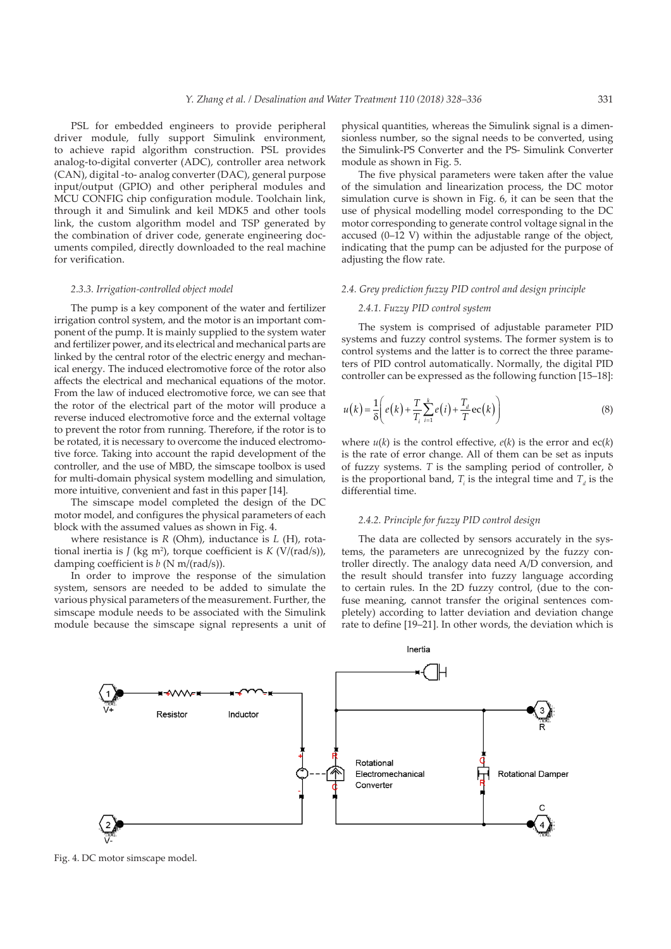PSL for embedded engineers to provide peripheral driver module, fully support Simulink environment, to achieve rapid algorithm construction. PSL provides analog-to-digital converter (ADC), controller area network (CAN), digital -to- analog converter (DAC), general purpose input/output (GPIO) and other peripheral modules and MCU CONFIG chip configuration module. Toolchain link, through it and Simulink and keil MDK5 and other tools link, the custom algorithm model and TSP generated by the combination of driver code, generate engineering documents compiled, directly downloaded to the real machine for verification.

# *2.3.3. Irrigation-controlled object model*

The pump is a key component of the water and fertilizer irrigation control system, and the motor is an important component of the pump. It is mainly supplied to the system water and fertilizer power, and its electrical and mechanical parts are linked by the central rotor of the electric energy and mechanical energy. The induced electromotive force of the rotor also affects the electrical and mechanical equations of the motor. From the law of induced electromotive force, we can see that the rotor of the electrical part of the motor will produce a reverse induced electromotive force and the external voltage to prevent the rotor from running. Therefore, if the rotor is to be rotated, it is necessary to overcome the induced electromotive force. Taking into account the rapid development of the controller, and the use of MBD, the simscape toolbox is used for multi-domain physical system modelling and simulation, more intuitive, convenient and fast in this paper [14].

The simscape model completed the design of the DC motor model, and configures the physical parameters of each block with the assumed values as shown in Fig. 4.

where resistance is *R* (Ohm), inductance is *L* (H), rotational inertia is  $J$  (kg m<sup>2</sup>), torque coefficient is  $K$  (V/(rad/s)), damping coefficient is *b* (N m/(rad/s)).

In order to improve the response of the simulation system, sensors are needed to be added to simulate the various physical parameters of the measurement. Further, the simscape module needs to be associated with the Simulink module because the simscape signal represents a unit of

physical quantities, whereas the Simulink signal is a dimensionless number, so the signal needs to be converted, using the Simulink-PS Converter and the PS- Simulink Converter module as shown in Fig. 5.

The five physical parameters were taken after the value of the simulation and linearization process, the DC motor simulation curve is shown in Fig. 6, it can be seen that the use of physical modelling model corresponding to the DC motor corresponding to generate control voltage signal in the accused (0–12 V) within the adjustable range of the object, indicating that the pump can be adjusted for the purpose of adjusting the flow rate.

# *2.4. Grey prediction fuzzy PID control and design principle*

#### *2.4.1. Fuzzy PID control system*

The system is comprised of adjustable parameter PID systems and fuzzy control systems. The former system is to control systems and the latter is to correct the three parameters of PID control automatically. Normally, the digital PID controller can be expressed as the following function [15–18]:

$$
u(k) = \frac{1}{\delta} \left( e(k) + \frac{T}{T_i} \sum_{i=1}^k e(i) + \frac{T_d}{T} \text{ec}(k) \right)
$$
 (8)

where  $u(k)$  is the control effective,  $e(k)$  is the error and  $ec(k)$ is the rate of error change. All of them can be set as inputs of fuzzy systems. *T* is the sampling period of controller, δ is the proportional band,  $T_i$  is the integral time and  $T_d$  is the differential time.

# *2.4.2. Principle for fuzzy PID control design*

The data are collected by sensors accurately in the systems, the parameters are unrecognized by the fuzzy controller directly. The analogy data need A/D conversion, and the result should transfer into fuzzy language according to certain rules. In the 2D fuzzy control, (due to the confuse meaning, cannot transfer the original sentences completely) according to latter deviation and deviation change rate to define [19–21]. In other words, the deviation which is



Fig. 4. DC motor simscape model.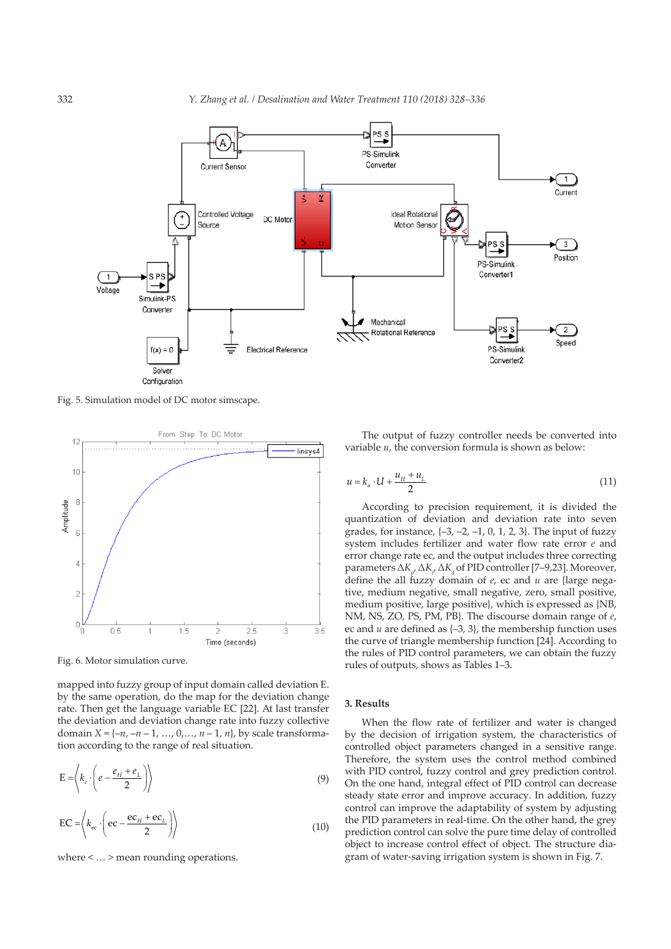

Fig. 5. Simulation model of DC motor simscape.



Fig. 6. Motor simulation curve.

mapped into fuzzy group of input domain called deviation E. by the same operation, do the map for the deviation change rate. Then get the language variable EC [22]. At last transfer the deviation and deviation change rate into fuzzy collective domain  $X = \{ -n, -n-1, ..., 0, ..., n-1, n \}$ , by scale transformation according to the range of real situation.

$$
\mathbf{E} = \left\langle k_e \cdot \left( e - \frac{e_H + e_L}{2} \right) \right\rangle \tag{9}
$$

$$
EC = \left\langle k_{\rm ec} \cdot \left( \text{ec} - \frac{\text{ec}_{H} + \text{ec}_{L}}{2} \right) \right\rangle \tag{10}
$$

where < … > mean rounding operations.

The output of fuzzy controller needs be converted into variable *u*, the conversion formula is shown as below:

$$
u = k_u \cdot U + \frac{u_H + u_L}{2} \tag{11}
$$

According to precision requirement, it is divided the quantization of deviation and deviation rate into seven grades, for instance,  $\{-3, -2, -1, 0, 1, 2, 3\}$ . The input of fuzzy system includes fertilizer and water flow rate error *e* and error change rate ec, and the output includes three correcting parameters  $\Delta K_{p}$ ,  $\Delta K_{q}$ ,  $\Delta K_{d}$  of PID controller [7–9,23]. Moreover, define the all fuzzy domain of *e*, ec and *u* are {large negative, medium negative, small negative, zero, small positive, medium positive, large positive}, which is expressed as {NB, NM, NS, ZO, PS, PM, PB}. The discourse domain range of *e*, ec and *u* are defined as {–3, 3}, the membership function uses the curve of triangle membership function [24]. According to the rules of PID control parameters, we can obtain the fuzzy rules of outputs, shows as Tables 1–3.

# **3. Results**

When the flow rate of fertilizer and water is changed by the decision of irrigation system, the characteristics of controlled object parameters changed in a sensitive range. Therefore, the system uses the control method combined with PID control, fuzzy control and grey prediction control. On the one hand, integral effect of PID control can decrease steady state error and improve accuracy. In addition, fuzzy control can improve the adaptability of system by adjusting the PID parameters in real-time. On the other hand, the grey prediction control can solve the pure time delay of controlled object to increase control effect of object. The structure diagram of water-saving irrigation system is shown in Fig. 7.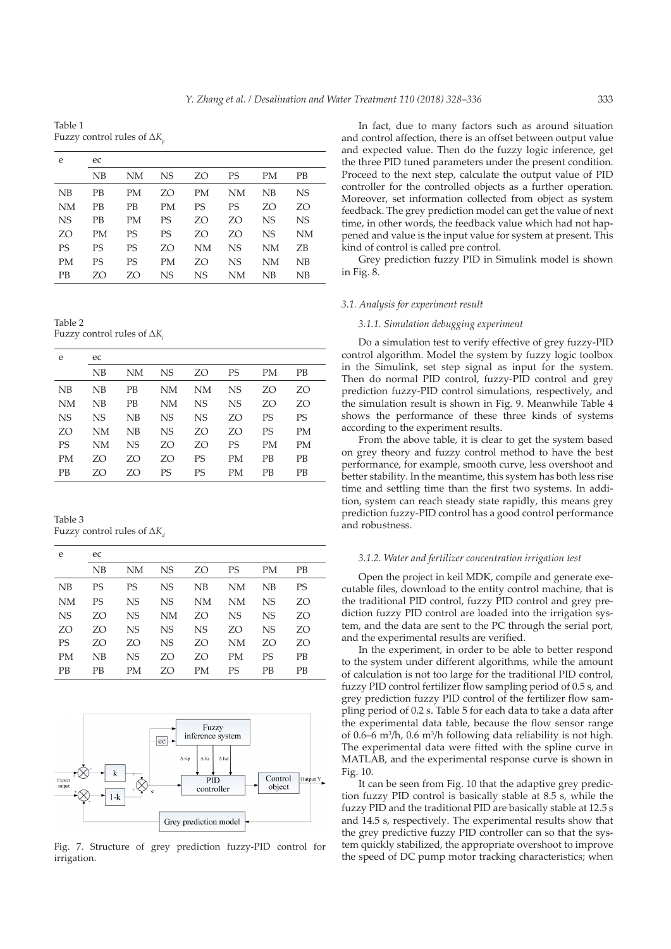Table 1 Fuzzy control rules of Δ*Kp*

| e         | ec        |    |           |    |           |           |    |
|-----------|-----------|----|-----------|----|-----------|-----------|----|
|           | NB        | NΜ | NS.       | ZΟ | <b>PS</b> | <b>PM</b> | PB |
| NB        | PB        | PМ | ZO        | PМ | NΜ        | NB        | NS |
| NM        | РB        | PВ | <b>PM</b> | PS | PS        | ZO        | ZO |
| <b>NS</b> | <b>PB</b> | PМ | PS        | ZO | ZO        | <b>NS</b> | NS |
| ZO        | PМ        | PS | PS        | ZΟ | ZO        | <b>NS</b> | NΜ |
| PS        | PS        | PS | ZO        | NΜ | NS        | NΜ        | ZΒ |
| PM        | PS        | PS | PМ        | ZO | NS        | NΜ        | NΒ |
| <b>PB</b> | ZΟ        | ZO | NS        | NS | NΜ        | NB        | NΒ |

Table 2 Fuzzy control rules of Δ*Ki*

| e         | ec        |           |     |           |           |           |           |
|-----------|-----------|-----------|-----|-----------|-----------|-----------|-----------|
|           | NΒ        | NΜ        | NS. | ZO        | PS        | PМ        | PВ        |
| NB        | NB        | PВ        | NΜ  | NΜ        | NS        | ZO        | ZO        |
| NΜ        | NΒ        | PВ        | NΜ  | NS        | <b>NS</b> | ZO        | ZO        |
| <b>NS</b> | <b>NS</b> | NB        | NS  | <b>NS</b> | ZO        | PS        | PS        |
| ZO        | NM        | NB        | NS  | ZΟ        | ZO        | PS        | PМ        |
| PS        | NΜ        | <b>NS</b> | ZO  | ZO        | PS        | PМ        | PМ        |
| PМ        | ZΟ        | ZO        | ZO  | PS        | PМ        | <b>PB</b> | <b>PB</b> |
| <b>PB</b> | ZO        | ZO        | PS  | PS        | PМ        | PВ        | PВ        |

Table 3 Fuzzy control rules of Δ*Kd*

| e         | ec        |           |    |    |    |           |    |
|-----------|-----------|-----------|----|----|----|-----------|----|
|           | NB        | NΜ        | NS | ZΟ | PS | PМ        | PВ |
| NB        | <b>PS</b> | PS        | NS | NB | NΜ | NB        | PS |
| NΜ        | PS        | <b>NS</b> | NS | NΜ | NΜ | NS        | ZO |
| <b>NS</b> | ZO        | <b>NS</b> | NΜ | ZΟ | NS | NS        | ZO |
| ZO        | ZO        | <b>NS</b> | NS | NS | ZO | <b>NS</b> | ZO |
| PS        | ZO        | ZO        | NS | ZO | NΜ | ZO        | ZO |
| <b>PM</b> | NB        | NS        | ZO | ZO | PМ | PS        | PB |
| <b>PB</b> | РB        | PМ        | ZO | PМ | PS | PB        | PВ |



Fig. 7. Structure of grey prediction fuzzy-PID control for irrigation.

In fact, due to many factors such as around situation and control affection, there is an offset between output value and expected value. Then do the fuzzy logic inference, get the three PID tuned parameters under the present condition. Proceed to the next step, calculate the output value of PID controller for the controlled objects as a further operation. Moreover, set information collected from object as system feedback. The grey prediction model can get the value of next time, in other words, the feedback value which had not happened and value is the input value for system at present. This kind of control is called pre control.

Grey prediction fuzzy PID in Simulink model is shown in Fig. 8.

#### *3.1. Analysis for experiment result*

#### *3.1.1. Simulation debugging experiment*

Do a simulation test to verify effective of grey fuzzy-PID control algorithm. Model the system by fuzzy logic toolbox in the Simulink, set step signal as input for the system. Then do normal PID control, fuzzy-PID control and grey prediction fuzzy-PID control simulations, respectively, and the simulation result is shown in Fig. 9. Meanwhile Table 4 shows the performance of these three kinds of systems according to the experiment results.

From the above table, it is clear to get the system based on grey theory and fuzzy control method to have the best performance, for example, smooth curve, less overshoot and better stability. In the meantime, this system has both less rise time and settling time than the first two systems. In addition, system can reach steady state rapidly, this means grey prediction fuzzy-PID control has a good control performance and robustness.

## *3.1.2. Water and fertilizer concentration irrigation test*

Open the project in keil MDK, compile and generate executable files, download to the entity control machine, that is the traditional PID control, fuzzy PID control and grey prediction fuzzy PID control are loaded into the irrigation system, and the data are sent to the PC through the serial port, and the experimental results are verified.

In the experiment, in order to be able to better respond to the system under different algorithms, while the amount of calculation is not too large for the traditional PID control, fuzzy PID control fertilizer flow sampling period of 0.5 s, and grey prediction fuzzy PID control of the fertilizer flow sampling period of 0.2 s. Table 5 for each data to take a data after the experimental data table, because the flow sensor range of 0.6–6 m3 /h, 0.6 m3 /h following data reliability is not high. The experimental data were fitted with the spline curve in MATLAB, and the experimental response curve is shown in Fig. 10.

It can be seen from Fig. 10 that the adaptive grey prediction fuzzy PID control is basically stable at 8.5 s, while the fuzzy PID and the traditional PID are basically stable at 12.5 s and 14.5 s, respectively. The experimental results show that the grey predictive fuzzy PID controller can so that the system quickly stabilized, the appropriate overshoot to improve the speed of DC pump motor tracking characteristics; when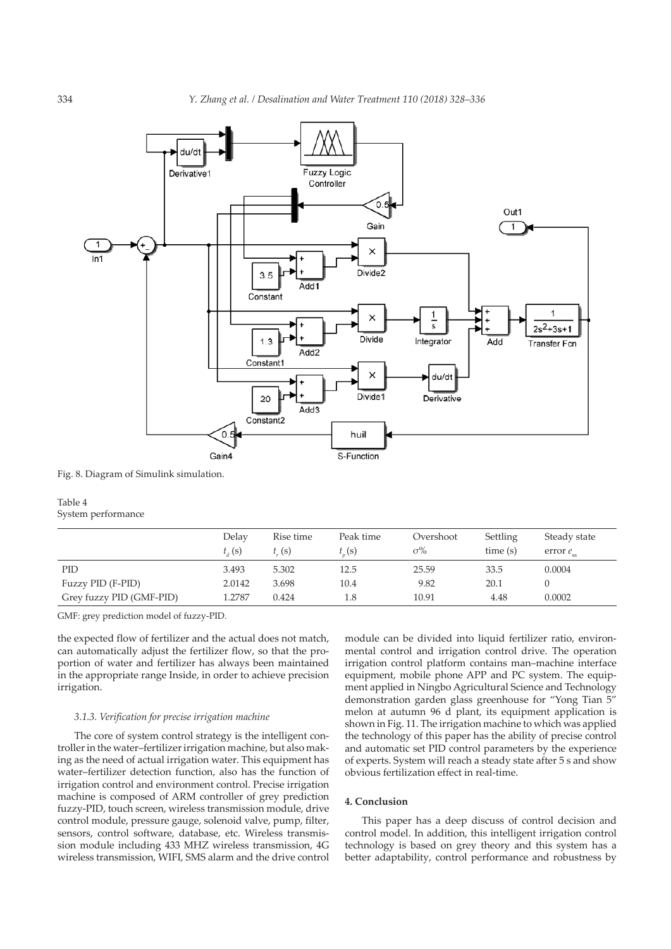

Fig. 8. Diagram of Simulink simulation.

# Table 4 System performance

|                          | Delay<br>$t_{J}(s)$ | Rise time<br>t(s) | Peak time<br>t(s) | Overshoot<br>$\sigma\%$ | Settling<br>time(s) | Steady state<br>error $e_{ss}$ |
|--------------------------|---------------------|-------------------|-------------------|-------------------------|---------------------|--------------------------------|
| PID                      | 3.493               | 5.302             | 12.5              | 25.59                   | 33.5                | 0.0004                         |
| Fuzzy PID (F-PID)        | 2.0142              | 3.698             | 10.4              | 9.82                    | 20.1                |                                |
| Grey fuzzy PID (GMF-PID) | 1.2787              | 0.424             | 1.8               | 10.91                   | 4.48                | 0.0002                         |

GMF: grey prediction model of fuzzy-PID.

the expected flow of fertilizer and the actual does not match, can automatically adjust the fertilizer flow, so that the proportion of water and fertilizer has always been maintained in the appropriate range Inside, in order to achieve precision irrigation.

# *3.1.3. Verification for precise irrigation machine*

The core of system control strategy is the intelligent controller in the water–fertilizer irrigation machine, but also making as the need of actual irrigation water. This equipment has water–fertilizer detection function, also has the function of irrigation control and environment control. Precise irrigation machine is composed of ARM controller of grey prediction fuzzy-PID, touch screen, wireless transmission module, drive control module, pressure gauge, solenoid valve, pump, filter, sensors, control software, database, etc. Wireless transmission module including 433 MHZ wireless transmission, 4G wireless transmission, WIFI, SMS alarm and the drive control

module can be divided into liquid fertilizer ratio, environmental control and irrigation control drive. The operation irrigation control platform contains man–machine interface equipment, mobile phone APP and PC system. The equipment applied in Ningbo Agricultural Science and Technology demonstration garden glass greenhouse for "Yong Tian 5" melon at autumn 96 d plant, its equipment application is shown in Fig. 11. The irrigation machine to which was applied the technology of this paper has the ability of precise control and automatic set PID control parameters by the experience of experts. System will reach a steady state after 5 s and show obvious fertilization effect in real-time.

### **4. Conclusion**

This paper has a deep discuss of control decision and control model. In addition, this intelligent irrigation control technology is based on grey theory and this system has a better adaptability, control performance and robustness by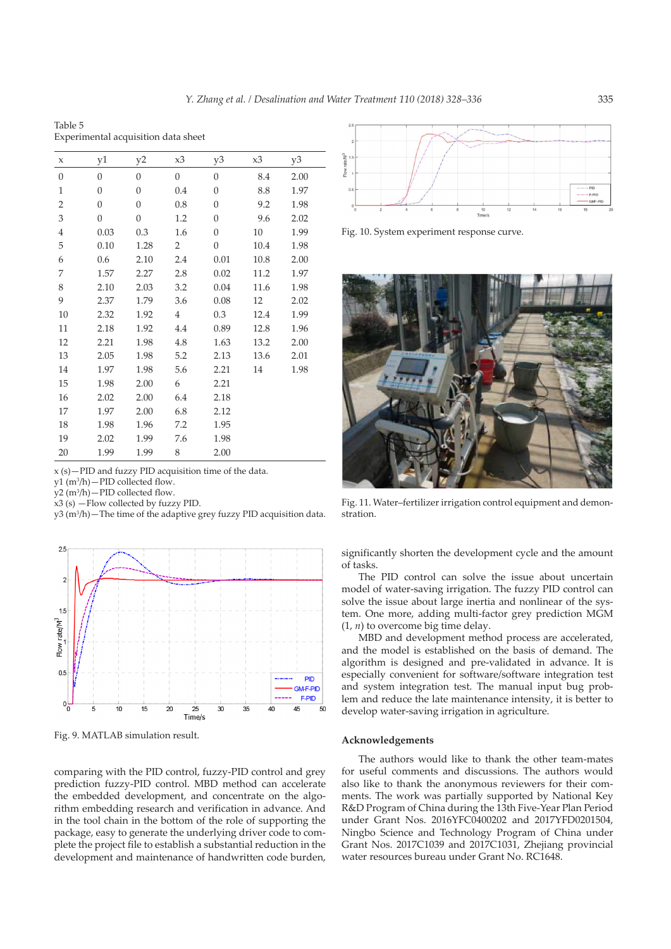Table 5 Experimental acquisition data sheet

| X                | y1             | y2             | x3             | y3               | x3   | y3   |
|------------------|----------------|----------------|----------------|------------------|------|------|
| $\boldsymbol{0}$ | $\Omega$       | $\overline{0}$ | $\overline{0}$ | $\overline{0}$   | 8.4  | 2.00 |
| $\mathbf{1}$     | $\overline{0}$ | $\overline{0}$ | 0.4            | $\mathbf{0}$     | 8.8  | 1.97 |
| $\overline{2}$   | $\overline{0}$ | $\overline{0}$ | 0.8            | $\overline{0}$   | 9.2  | 1.98 |
| 3                | $\overline{0}$ | $\overline{0}$ | 1.2            | $\overline{0}$   | 9.6  | 2.02 |
| 4                | 0.03           | 0.3            | 1.6            | $\boldsymbol{0}$ | 10   | 1.99 |
| 5                | 0.10           | 1.28           | 2              | $\boldsymbol{0}$ | 10.4 | 1.98 |
| 6                | 0.6            | 2.10           | 2.4            | 0.01             | 10.8 | 2.00 |
| 7                | 1.57           | 2.27           | 2.8            | 0.02             | 11.2 | 1.97 |
| 8                | 2.10           | 2.03           | 3.2            | 0.04             | 11.6 | 1.98 |
| 9                | 2.37           | 1.79           | 3.6            | 0.08             | 12   | 2.02 |
| 10               | 2.32           | 1.92           | $\overline{4}$ | 0.3              | 12.4 | 1.99 |
| 11               | 2.18           | 1.92           | 4.4            | 0.89             | 12.8 | 1.96 |
| 12               | 2.21           | 1.98           | 4.8            | 1.63             | 13.2 | 2.00 |
| 13               | 2.05           | 1.98           | 5.2            | 2.13             | 13.6 | 2.01 |
| 14               | 1.97           | 1.98           | 5.6            | 2.21             | 14   | 1.98 |
| 15               | 1.98           | 2.00           | 6              | 2.21             |      |      |
| 16               | 2.02           | 2.00           | 6.4            | 2.18             |      |      |
| 17               | 1.97           | 2.00           | 6.8            | 2.12             |      |      |
| 18               | 1.98           | 1.96           | 7.2            | 1.95             |      |      |
| 19               | 2.02           | 1.99           | 7.6            | 1.98             |      |      |
| 20               | 1.99           | 1.99           | 8              | 2.00             |      |      |

x (s)—PID and fuzzy PID acquisition time of the data.

y1 (m3 /h)—PID collected flow.

y2 (m3 /h)—PID collected flow.

 $x3$  (s)  $-$  Flow collected by fuzzy PID.

y3 (m<sup>3</sup>/h) – The time of the adaptive grey fuzzy PID acquisition data.



Fig. 9. MATLAB simulation result.

comparing with the PID control, fuzzy-PID control and grey prediction fuzzy-PID control. MBD method can accelerate the embedded development, and concentrate on the algorithm embedding research and verification in advance. And in the tool chain in the bottom of the role of supporting the package, easy to generate the underlying driver code to complete the project file to establish a substantial reduction in the development and maintenance of handwritten code burden,



Fig. 10. System experiment response curve.



Fig. 11. Water–fertilizer irrigation control equipment and demonstration.

significantly shorten the development cycle and the amount of tasks.

The PID control can solve the issue about uncertain model of water-saving irrigation. The fuzzy PID control can solve the issue about large inertia and nonlinear of the system. One more, adding multi-factor grey prediction MGM  $(1, n)$  to overcome big time delay.

MBD and development method process are accelerated, and the model is established on the basis of demand. The algorithm is designed and pre-validated in advance. It is especially convenient for software/software integration test and system integration test. The manual input bug problem and reduce the late maintenance intensity, it is better to develop water-saving irrigation in agriculture.

# **Acknowledgements**

The authors would like to thank the other team-mates for useful comments and discussions. The authors would also like to thank the anonymous reviewers for their comments. The work was partially supported by National Key R&D Program of China during the 13th Five-Year Plan Period under Grant Nos. 2016YFC0400202 and 2017YFD0201504, Ningbo Science and Technology Program of China under Grant Nos. 2017C1039 and 2017C1031, Zhejiang provincial water resources bureau under Grant No. RC1648.